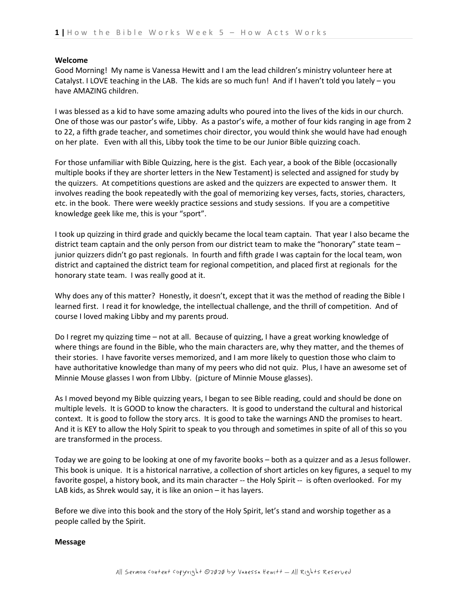# **Welcome**

Good Morning! My name is Vanessa Hewitt and I am the lead children's ministry volunteer here at Catalyst. I LOVE teaching in the LAB. The kids are so much fun! And if I haven't told you lately – you have AMAZING children.

I was blessed as a kid to have some amazing adults who poured into the lives of the kids in our church. One of those was our pastor's wife, Libby. As a pastor's wife, a mother of four kids ranging in age from 2 to 22, a fifth grade teacher, and sometimes choir director, you would think she would have had enough on her plate. Even with all this, Libby took the time to be our Junior Bible quizzing coach.

For those unfamiliar with Bible Quizzing, here is the gist. Each year, a book of the Bible (occasionally multiple books if they are shorter letters in the New Testament) is selected and assigned for study by the quizzers. At competitions questions are asked and the quizzers are expected to answer them. It involves reading the book repeatedly with the goal of memorizing key verses, facts, stories, characters, etc. in the book. There were weekly practice sessions and study sessions. If you are a competitive knowledge geek like me, this is your "sport".

I took up quizzing in third grade and quickly became the local team captain. That year I also became the district team captain and the only person from our district team to make the "honorary" state team – junior quizzers didn't go past regionals. In fourth and fifth grade I was captain for the local team, won district and captained the district team for regional competition, and placed first at regionals for the honorary state team. I was really good at it.

Why does any of this matter? Honestly, it doesn't, except that it was the method of reading the Bible I learned first. I read it for knowledge, the intellectual challenge, and the thrill of competition. And of course I loved making Libby and my parents proud.

Do I regret my quizzing time – not at all. Because of quizzing, I have a great working knowledge of where things are found in the Bible, who the main characters are, why they matter, and the themes of their stories. I have favorite verses memorized, and I am more likely to question those who claim to have authoritative knowledge than many of my peers who did not quiz. Plus, I have an awesome set of Minnie Mouse glasses I won from LIbby. (picture of Minnie Mouse glasses).

As I moved beyond my Bible quizzing years, I began to see Bible reading, could and should be done on multiple levels. It is GOOD to know the characters. It is good to understand the cultural and historical context. It is good to follow the story arcs. It is good to take the warnings AND the promises to heart. And it is KEY to allow the Holy Spirit to speak to you through and sometimes in spite of all of this so you are transformed in the process.

Today we are going to be looking at one of my favorite books – both as a quizzer and as a Jesus follower. This book is unique. It is a historical narrative, a collection of short articles on key figures, a sequel to my favorite gospel, a history book, and its main character -- the Holy Spirit -- is often overlooked. For my LAB kids, as Shrek would say, it is like an onion – it has layers.

Before we dive into this book and the story of the Holy Spirit, let's stand and worship together as a people called by the Spirit.

# **Message**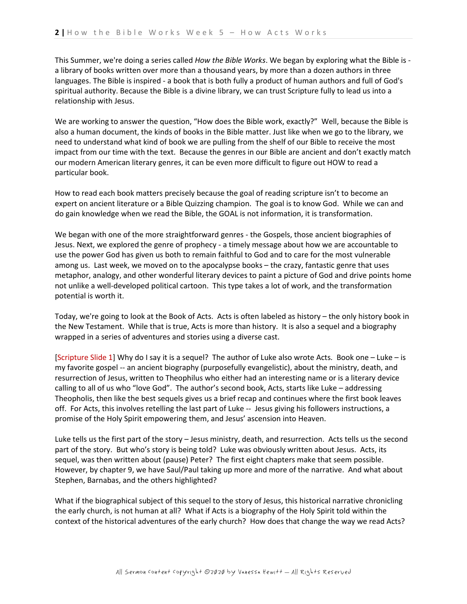This Summer, we're doing a series called *How the Bible Works*. We began by exploring what the Bible is a library of books written over more than a thousand years, by more than a dozen authors in three languages. The Bible is inspired - a book that is both fully a product of human authors and full of God's spiritual authority. Because the Bible is a divine library, we can trust Scripture fully to lead us into a relationship with Jesus.

We are working to answer the question, "How does the Bible work, exactly?" Well, because the Bible is also a human document, the kinds of books in the Bible matter. Just like when we go to the library, we need to understand what kind of book we are pulling from the shelf of our Bible to receive the most impact from our time with the text. Because the genres in our Bible are ancient and don't exactly match our modern American literary genres, it can be even more difficult to figure out HOW to read a particular book.

How to read each book matters precisely because the goal of reading scripture isn't to become an expert on ancient literature or a Bible Quizzing champion. The goal is to know God. While we can and do gain knowledge when we read the Bible, the GOAL is not information, it is transformation.

We began with one of the more straightforward genres - the Gospels, those ancient biographies of Jesus. Next, we explored the genre of prophecy - a timely message about how we are accountable to use the power God has given us both to remain faithful to God and to care for the most vulnerable among us. Last week, we moved on to the apocalypse books – the crazy, fantastic genre that uses metaphor, analogy, and other wonderful literary devices to paint a picture of God and drive points home not unlike a well-developed political cartoon. This type takes a lot of work, and the transformation potential is worth it.

Today, we're going to look at the Book of Acts. Acts is often labeled as history – the only history book in the New Testament. While that is true, Acts is more than history. It is also a sequel and a biography wrapped in a series of adventures and stories using a diverse cast.

[Scripture Slide 1] Why do I say it is a sequel? The author of Luke also wrote Acts. Book one – Luke – is my favorite gospel -- an ancient biography (purposefully evangelistic), about the ministry, death, and resurrection of Jesus, written to Theophilus who either had an interesting name or is a literary device calling to all of us who "love God". The author's second book, Acts, starts like Luke – addressing Theopholis, then like the best sequels gives us a brief recap and continues where the first book leaves off. For Acts, this involves retelling the last part of Luke -- Jesus giving his followers instructions, a promise of the Holy Spirit empowering them, and Jesus' ascension into Heaven.

Luke tells us the first part of the story – Jesus ministry, death, and resurrection. Acts tells us the second part of the story. But who's story is being told? Luke was obviously written about Jesus. Acts, its sequel, was then written about (pause) Peter? The first eight chapters make that seem possible. However, by chapter 9, we have Saul/Paul taking up more and more of the narrative. And what about Stephen, Barnabas, and the others highlighted?

What if the biographical subject of this sequel to the story of Jesus, this historical narrative chronicling the early church, is not human at all? What if Acts is a biography of the Holy Spirit told within the context of the historical adventures of the early church? How does that change the way we read Acts?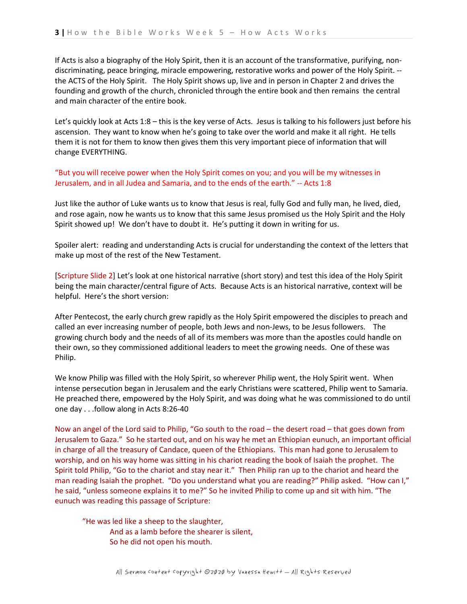If Acts is also a biography of the Holy Spirit, then it is an account of the transformative, purifying, nondiscriminating, peace bringing, miracle empowering, restorative works and power of the Holy Spirit. - the ACTS of the Holy Spirit. The Holy Spirit shows up, live and in person in Chapter 2 and drives the founding and growth of the church, chronicled through the entire book and then remains the central and main character of the entire book.

Let's quickly look at Acts 1:8 – this is the key verse of Acts. Jesus is talking to his followers just before his ascension. They want to know when he's going to take over the world and make it all right. He tells them it is not for them to know then gives them this very important piece of information that will change EVERYTHING.

"But you will receive power when the Holy Spirit comes on you; and you will be my witnesses in Jerusalem, and in all Judea and Samaria, and to the ends of the earth." -- Acts 1:8

Just like the author of Luke wants us to know that Jesus is real, fully God and fully man, he lived, died, and rose again, now he wants us to know that this same Jesus promised us the Holy Spirit and the Holy Spirit showed up! We don't have to doubt it. He's putting it down in writing for us.

Spoiler alert: reading and understanding Acts is crucial for understanding the context of the letters that make up most of the rest of the New Testament.

[Scripture Slide 2] Let's look at one historical narrative (short story) and test this idea of the Holy Spirit being the main character/central figure of Acts. Because Acts is an historical narrative, context will be helpful. Here's the short version:

After Pentecost, the early church grew rapidly as the Holy Spirit empowered the disciples to preach and called an ever increasing number of people, both Jews and non-Jews, to be Jesus followers. The growing church body and the needs of all of its members was more than the apostles could handle on their own, so they commissioned additional leaders to meet the growing needs. One of these was Philip.

We know Philip was filled with the Holy Spirit, so wherever Philip went, the Holy Spirit went. When intense persecution began in Jerusalem and the early Christians were scattered, Philip went to Samaria. He preached there, empowered by the Holy Spirit, and was doing what he was commissioned to do until one day . . .follow along in Acts 8:26-40

Now an angel of the Lord said to Philip, "Go south to the road – the desert road – that goes down from Jerusalem to Gaza." So he started out, and on his way he met an Ethiopian eunuch, an important official in charge of all the treasury of Candace, queen of the Ethiopians. This man had gone to Jerusalem to worship, and on his way home was sitting in his chariot reading the book of Isaiah the prophet. The Spirit told Philip, "Go to the chariot and stay near it." Then Philip ran up to the chariot and heard the man reading Isaiah the prophet. "Do you understand what you are reading?" Philip asked. "How can I," he said, "unless someone explains it to me?" So he invited Philip to come up and sit with him. "The eunuch was reading this passage of Scripture:

"He was led like a sheep to the slaughter, And as a lamb before the shearer is silent, So he did not open his mouth.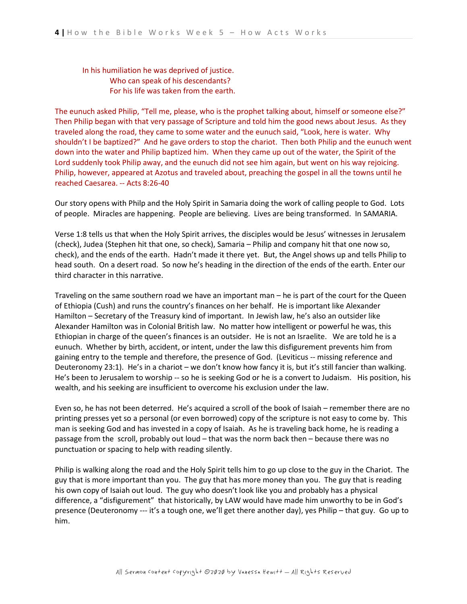In his humiliation he was deprived of justice. Who can speak of his descendants? For his life was taken from the earth.

The eunuch asked Philip, "Tell me, please, who is the prophet talking about, himself or someone else?" Then Philip began with that very passage of Scripture and told him the good news about Jesus. As they traveled along the road, they came to some water and the eunuch said, "Look, here is water. Why shouldn't I be baptized?" And he gave orders to stop the chariot. Then both Philip and the eunuch went down into the water and Philip baptized him. When they came up out of the water, the Spirit of the Lord suddenly took Philip away, and the eunuch did not see him again, but went on his way rejoicing. Philip, however, appeared at Azotus and traveled about, preaching the gospel in all the towns until he reached Caesarea. -- Acts 8:26-40

Our story opens with Philp and the Holy Spirit in Samaria doing the work of calling people to God. Lots of people. Miracles are happening. People are believing. Lives are being transformed. In SAMARIA.

Verse 1:8 tells us that when the Holy Spirit arrives, the disciples would be Jesus' witnesses in Jerusalem (check), Judea (Stephen hit that one, so check), Samaria – Philip and company hit that one now so, check), and the ends of the earth. Hadn't made it there yet. But, the Angel shows up and tells Philip to head south. On a desert road. So now he's heading in the direction of the ends of the earth. Enter our third character in this narrative.

Traveling on the same southern road we have an important man – he is part of the court for the Queen of Ethiopia (Cush) and runs the country's finances on her behalf. He is important like Alexander Hamilton – Secretary of the Treasury kind of important. In Jewish law, he's also an outsider like Alexander Hamilton was in Colonial British law. No matter how intelligent or powerful he was, this Ethiopian in charge of the queen's finances is an outsider. He is not an Israelite. We are told he is a eunuch. Whether by birth, accident, or intent, under the law this disfigurement prevents him from gaining entry to the temple and therefore, the presence of God. (Leviticus -- missing reference and Deuteronomy 23:1). He's in a chariot – we don't know how fancy it is, but it's still fancier than walking. He's been to Jerusalem to worship -- so he is seeking God or he is a convert to Judaism. His position, his wealth, and his seeking are insufficient to overcome his exclusion under the law.

Even so, he has not been deterred. He's acquired a scroll of the book of Isaiah – remember there are no printing presses yet so a personal (or even borrowed) copy of the scripture is not easy to come by. This man is seeking God and has invested in a copy of Isaiah. As he is traveling back home, he is reading a passage from the scroll, probably out loud – that was the norm back then – because there was no punctuation or spacing to help with reading silently.

Philip is walking along the road and the Holy Spirit tells him to go up close to the guy in the Chariot. The guy that is more important than you. The guy that has more money than you. The guy that is reading his own copy of Isaiah out loud. The guy who doesn't look like you and probably has a physical difference, a "disfigurement" that historically, by LAW would have made him unworthy to be in God's presence (Deuteronomy --- it's a tough one, we'll get there another day), yes Philip – that guy. Go up to him.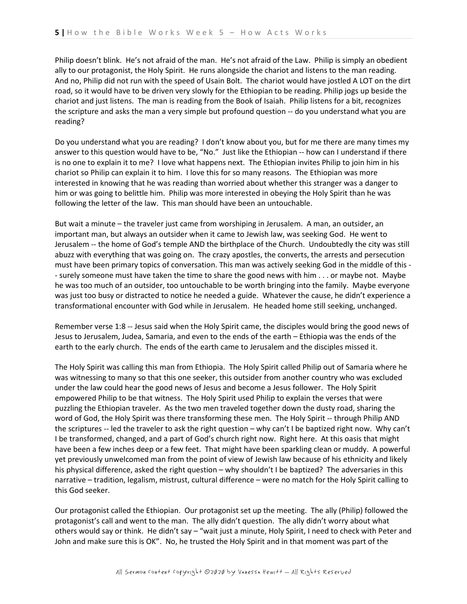Philip doesn't blink. He's not afraid of the man. He's not afraid of the Law. Philip is simply an obedient ally to our protagonist, the Holy Spirit. He runs alongside the chariot and listens to the man reading. And no, Philip did not run with the speed of Usain Bolt. The chariot would have jostled A LOT on the dirt road, so it would have to be driven very slowly for the Ethiopian to be reading. Philip jogs up beside the chariot and just listens. The man is reading from the Book of Isaiah. Philip listens for a bit, recognizes the scripture and asks the man a very simple but profound question -- do you understand what you are reading?

Do you understand what you are reading? I don't know about you, but for me there are many times my answer to this question would have to be, "No." Just like the Ethiopian -- how can I understand if there is no one to explain it to me? I love what happens next. The Ethiopian invites Philip to join him in his chariot so Philip can explain it to him. I love this for so many reasons. The Ethiopian was more interested in knowing that he was reading than worried about whether this stranger was a danger to him or was going to belittle him. Philip was more interested in obeying the Holy Spirit than he was following the letter of the law. This man should have been an untouchable.

But wait a minute – the traveler just came from worshiping in Jerusalem. A man, an outsider, an important man, but always an outsider when it came to Jewish law, was seeking God. He went to Jerusalem -- the home of God's temple AND the birthplace of the Church. Undoubtedly the city was still abuzz with everything that was going on. The crazy apostles, the converts, the arrests and persecution must have been primary topics of conversation. This man was actively seeking God in the middle of this - - surely someone must have taken the time to share the good news with him . . . or maybe not. Maybe he was too much of an outsider, too untouchable to be worth bringing into the family. Maybe everyone was just too busy or distracted to notice he needed a guide. Whatever the cause, he didn't experience a transformational encounter with God while in Jerusalem. He headed home still seeking, unchanged.

Remember verse 1:8 -- Jesus said when the Holy Spirit came, the disciples would bring the good news of Jesus to Jerusalem, Judea, Samaria, and even to the ends of the earth – Ethiopia was the ends of the earth to the early church. The ends of the earth came to Jerusalem and the disciples missed it.

The Holy Spirit was calling this man from Ethiopia. The Holy Spirit called Philip out of Samaria where he was witnessing to many so that this one seeker, this outsider from another country who was excluded under the law could hear the good news of Jesus and become a Jesus follower. The Holy Spirit empowered Philip to be that witness. The Holy Spirit used Philip to explain the verses that were puzzling the Ethiopian traveler. As the two men traveled together down the dusty road, sharing the word of God, the Holy Spirit was there transforming these men. The Holy Spirit -- through Philip AND the scriptures -- led the traveler to ask the right question – why can't I be baptized right now. Why can't I be transformed, changed, and a part of God's church right now. Right here. At this oasis that might have been a few inches deep or a few feet. That might have been sparkling clean or muddy. A powerful yet previously unwelcomed man from the point of view of Jewish law because of his ethnicity and likely his physical difference, asked the right question – why shouldn't I be baptized? The adversaries in this narrative – tradition, legalism, mistrust, cultural difference – were no match for the Holy Spirit calling to this God seeker.

Our protagonist called the Ethiopian. Our protagonist set up the meeting. The ally (Philip) followed the protagonist's call and went to the man. The ally didn't question. The ally didn't worry about what others would say or think. He didn't say – "wait just a minute, Holy Spirit, I need to check with Peter and John and make sure this is OK". No, he trusted the Holy Spirit and in that moment was part of the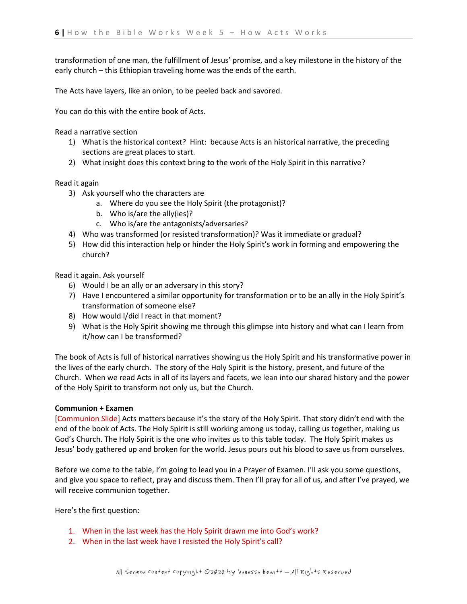transformation of one man, the fulfillment of Jesus' promise, and a key milestone in the history of the early church – this Ethiopian traveling home was the ends of the earth.

The Acts have layers, like an onion, to be peeled back and savored.

You can do this with the entire book of Acts.

Read a narrative section

- 1) What is the historical context? Hint: because Acts is an historical narrative, the preceding sections are great places to start.
- 2) What insight does this context bring to the work of the Holy Spirit in this narrative?

### Read it again

- 3) Ask yourself who the characters are
	- a. Where do you see the Holy Spirit (the protagonist)?
	- b. Who is/are the ally(ies)?
	- c. Who is/are the antagonists/adversaries?
- 4) Who was transformed (or resisted transformation)? Was it immediate or gradual?
- 5) How did this interaction help or hinder the Holy Spirit's work in forming and empowering the church?

Read it again. Ask yourself

- 6) Would I be an ally or an adversary in this story?
- 7) Have I encountered a similar opportunity for transformation or to be an ally in the Holy Spirit's transformation of someone else?
- 8) How would I/did I react in that moment?
- 9) What is the Holy Spirit showing me through this glimpse into history and what can I learn from it/how can I be transformed?

The book of Acts is full of historical narratives showing us the Holy Spirit and his transformative power in the lives of the early church. The story of the Holy Spirit is the history, present, and future of the Church. When we read Acts in all of its layers and facets, we lean into our shared history and the power of the Holy Spirit to transform not only us, but the Church.

### **Communion + Examen**

[Communion Slide] Acts matters because it's the story of the Holy Spirit. That story didn't end with the end of the book of Acts. The Holy Spirit is still working among us today, calling us together, making us God's Church. The Holy Spirit is the one who invites us to this table today. The Holy Spirit makes us Jesus' body gathered up and broken for the world. Jesus pours out his blood to save us from ourselves.

Before we come to the table, I'm going to lead you in a Prayer of Examen. I'll ask you some questions, and give you space to reflect, pray and discuss them. Then I'll pray for all of us, and after I've prayed, we will receive communion together.

Here's the first question:

- 1. When in the last week has the Holy Spirit drawn me into God's work?
- 2. When in the last week have I resisted the Holy Spirit's call?